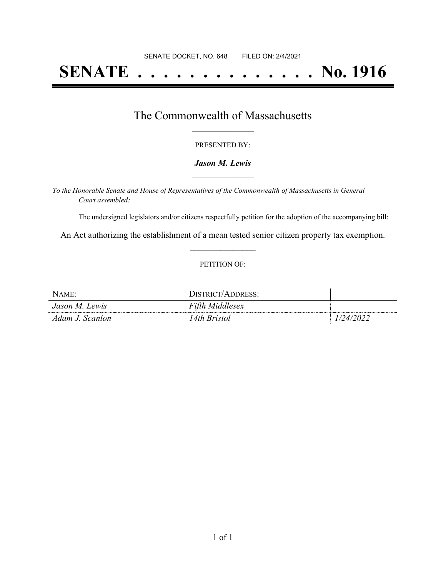# **SENATE . . . . . . . . . . . . . . No. 1916**

## The Commonwealth of Massachusetts **\_\_\_\_\_\_\_\_\_\_\_\_\_\_\_\_\_**

#### PRESENTED BY:

#### *Jason M. Lewis* **\_\_\_\_\_\_\_\_\_\_\_\_\_\_\_\_\_**

*To the Honorable Senate and House of Representatives of the Commonwealth of Massachusetts in General Court assembled:*

The undersigned legislators and/or citizens respectfully petition for the adoption of the accompanying bill:

An Act authorizing the establishment of a mean tested senior citizen property tax exemption. **\_\_\_\_\_\_\_\_\_\_\_\_\_\_\_**

#### PETITION OF:

| NAME:           | DISTRICT/ADDRESS:      |           |
|-----------------|------------------------|-----------|
| Jason M. Lewis  | <b>Fifth Middlesex</b> |           |
| Adam J. Scanlon | ! 4th Bristol          | 1/24/2022 |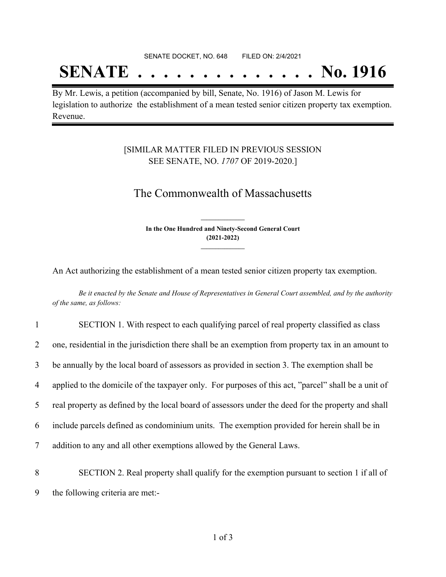#### SENATE DOCKET, NO. 648 FILED ON: 2/4/2021

## **SENATE . . . . . . . . . . . . . . No. 1916**

By Mr. Lewis, a petition (accompanied by bill, Senate, No. 1916) of Jason M. Lewis for legislation to authorize the establishment of a mean tested senior citizen property tax exemption. Revenue.

### [SIMILAR MATTER FILED IN PREVIOUS SESSION SEE SENATE, NO. *1707* OF 2019-2020.]

## The Commonwealth of Massachusetts

**In the One Hundred and Ninety-Second General Court (2021-2022) \_\_\_\_\_\_\_\_\_\_\_\_\_\_\_**

**\_\_\_\_\_\_\_\_\_\_\_\_\_\_\_**

An Act authorizing the establishment of a mean tested senior citizen property tax exemption.

Be it enacted by the Senate and House of Representatives in General Court assembled, and by the authority *of the same, as follows:*

| $\mathbf{1}$   | SECTION 1. With respect to each qualifying parcel of real property classified as class              |
|----------------|-----------------------------------------------------------------------------------------------------|
| $\overline{2}$ | one, residential in the jurisdiction there shall be an exemption from property tax in an amount to  |
| 3 <sup>1</sup> | be annually by the local board of assessors as provided in section 3. The exemption shall be        |
| 4              | applied to the domicile of the taxpayer only. For purposes of this act, "parcel" shall be a unit of |
| 5              | real property as defined by the local board of assessors under the deed for the property and shall  |
| 6              | include parcels defined as condominium units. The exemption provided for herein shall be in         |
| $\overline{7}$ | addition to any and all other exemptions allowed by the General Laws.                               |
|                |                                                                                                     |

8 SECTION 2. Real property shall qualify for the exemption pursuant to section 1 if all of 9 the following criteria are met:-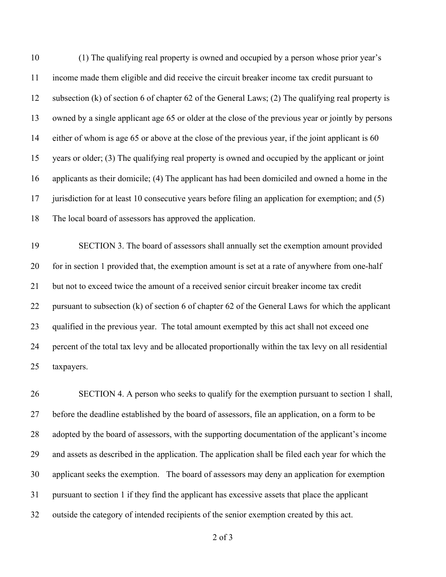(1) The qualifying real property is owned and occupied by a person whose prior year's income made them eligible and did receive the circuit breaker income tax credit pursuant to subsection (k) of section 6 of chapter 62 of the General Laws; (2) The qualifying real property is owned by a single applicant age 65 or older at the close of the previous year or jointly by persons either of whom is age 65 or above at the close of the previous year, if the joint applicant is 60 years or older; (3) The qualifying real property is owned and occupied by the applicant or joint applicants as their domicile; (4) The applicant has had been domiciled and owned a home in the jurisdiction for at least 10 consecutive years before filing an application for exemption; and (5) The local board of assessors has approved the application.

 SECTION 3. The board of assessors shall annually set the exemption amount provided for in section 1 provided that, the exemption amount is set at a rate of anywhere from one-half but not to exceed twice the amount of a received senior circuit breaker income tax credit 22 pursuant to subsection (k) of section 6 of chapter 62 of the General Laws for which the applicant 23 qualified in the previous year. The total amount exempted by this act shall not exceed one percent of the total tax levy and be allocated proportionally within the tax levy on all residential taxpayers.

 SECTION 4. A person who seeks to qualify for the exemption pursuant to section 1 shall, before the deadline established by the board of assessors, file an application, on a form to be adopted by the board of assessors, with the supporting documentation of the applicant's income and assets as described in the application. The application shall be filed each year for which the applicant seeks the exemption. The board of assessors may deny an application for exemption pursuant to section 1 if they find the applicant has excessive assets that place the applicant outside the category of intended recipients of the senior exemption created by this act.

of 3